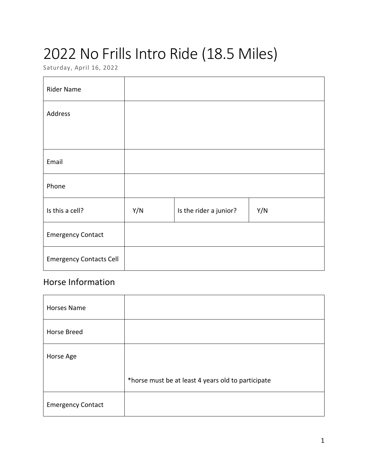# 2022 No Frills Intro Ride (18.5 Miles)

Saturday, April 16, 2022

| <b>Rider Name</b>              |     |                        |     |
|--------------------------------|-----|------------------------|-----|
| Address                        |     |                        |     |
|                                |     |                        |     |
| Email                          |     |                        |     |
| Phone                          |     |                        |     |
| Is this a cell?                | Y/N | Is the rider a junior? | Y/N |
| <b>Emergency Contact</b>       |     |                        |     |
| <b>Emergency Contacts Cell</b> |     |                        |     |

### Horse Information

| <b>Horses Name</b>       |                                                    |
|--------------------------|----------------------------------------------------|
| Horse Breed              |                                                    |
| Horse Age                |                                                    |
|                          | *horse must be at least 4 years old to participate |
| <b>Emergency Contact</b> |                                                    |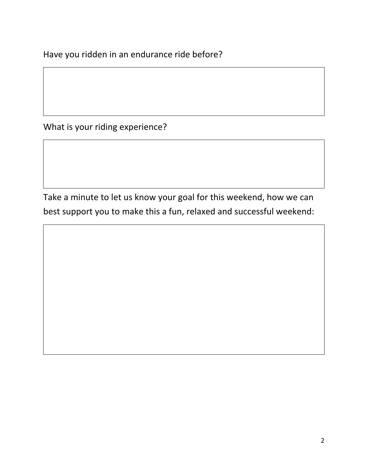Have you ridden in an endurance ride before?

What is your riding experience?

Take a minute to let us know your goal for this weekend, how we can best support you to make this a fun, relaxed and successful weekend: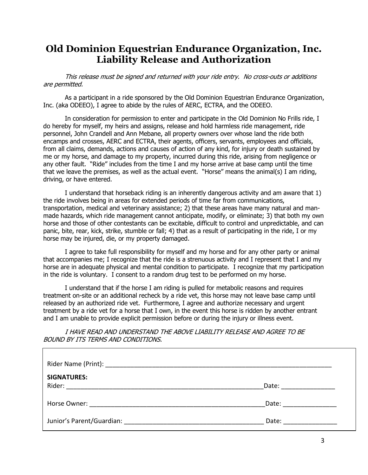### **Old Dominion Equestrian Endurance Organization, Inc. Liability Release and Authorization**

This release must be signed and returned with your ride entry. No cross-outs or additions are permitted.

As a participant in a ride sponsored by the Old Dominion Equestrian Endurance Organization, Inc. (aka ODEEO), I agree to abide by the rules of AERC, ECTRA, and the ODEEO.

In consideration for permission to enter and participate in the Old Dominion No Frills ride, I do hereby for myself, my heirs and assigns, release and hold harmless ride management, ride personnel, John Crandell and Ann Mebane, all property owners over whose land the ride both encamps and crosses, AERC and ECTRA, their agents, officers, servants, employees and officials, from all claims, demands, actions and causes of action of any kind, for injury or death sustained by me or my horse, and damage to my property, incurred during this ride, arising from negligence or any other fault. "Ride" includes from the time I and my horse arrive at base camp until the time that we leave the premises, as well as the actual event. "Horse" means the animal(s) I am riding, driving, or have entered.

I understand that horseback riding is an inherently dangerous activity and am aware that 1) the ride involves being in areas for extended periods of time far from communications, transportation, medical and veterinary assistance; 2) that these areas have many natural and manmade hazards, which ride management cannot anticipate, modify, or eliminate; 3) that both my own horse and those of other contestants can be excitable, difficult to control and unpredictable, and can panic, bite, rear, kick, strike, stumble or fall; 4) that as a result of participating in the ride, I or my horse may be injured, die, or my property damaged.

I agree to take full responsibility for myself and my horse and for any other party or animal that accompanies me; I recognize that the ride is a strenuous activity and I represent that I and my horse are in adequate physical and mental condition to participate. I recognize that my participation in the ride is voluntary. I consent to a random drug test to be performed on my horse.

I understand that if the horse I am riding is pulled for metabolic reasons and requires treatment on-site or an additional recheck by a ride vet, this horse may not leave base camp until released by an authorized ride vet. Furthermore, I agree and authorize necessary and urgent treatment by a ride vet for a horse that I own, in the event this horse is ridden by another entrant and I am unable to provide explicit permission before or during the injury or illness event.

I HAVE READ AND UNDERSTAND THE ABOVE LIABILITY RELEASE AND AGREE TO BE BOUND BY ITS TERMS AND CONDITIONS.

| <b>SIGNATURES:</b> |                       |
|--------------------|-----------------------|
|                    | Date: _______________ |
|                    | Date: ___________     |
|                    | Date: _____________   |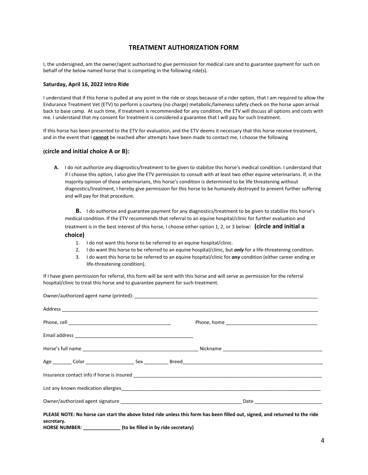### **TREATMENT AUTHORIZATION FORM**

I, the undersigned, am the owner/agent authorized to give permission for medical care and to guarantee payment for such on behalf of the below named horse that is competing in the following ride(s).

#### **Saturday, April 16, 2022 Intro Ride**

I understand that if this horse is pulled at any point in the ride or stops because of a rider option, that I am required to allow the Endurance Treatment Vet (ETV) to perform a courtesy (no charge) metabolic/lameness safety check on the horse upon arrival back to base camp. At such time, if treatment is recommended for any condition, the ETV will discuss all options and costs with me. I understand that my consent for treatment is considered a guarantee that I will pay for such treatment.

If this horse has been presented to the ETV for evaluation, and the ETV deems it necessary that this horse receive treatment, and in the event that I **cannot** be reached after attempts have been made to contact me, I choose the following

#### **(circle and initial choice A or B):**

**A.** I do not authorize any diagnostics/treatment to be given to stabilize this horse's medical condition. I understand that if I choose this option, I also give the ETV permission to consult with at least two other equine veterinarians. If, in the majority opinion of those veterinarians, this horse's condition is determined to be life threatening without diagnostics/treatment, I hereby give permission for this horse to be humanely destroyed to prevent further suffering and will pay for that procedure.

**B.** I do authorize and guarantee payment for any diagnostics/treatment to be given to stabilize this horse's medical condition. If the ETV recommends that referral to an equine hospital/clinic for further evaluation and treatment is in the best interest of this horse, I choose either option 1, 2, or 3 below: **(circle and initial a choice)**

- 1. I do not want this horse to be referred to an equine hospital/clinic.
- 2. I do want this horse to be referred to an equine hospital/clinic, but *only* for a life-threatening condition.
- 3. I do want this horse to be referred to an equine hospital/clinic for *any* condition (either career ending or life-threatening condition).

If I have given permission for referral, this form will be sent with this horse and will serve as permission for the referral hospital/clinic to treat this horse and to guarantee payment for such treatment.

| PLEASE NOTE: No horse can start the above listed ride unless this form has been filled out, signed, and returned to the ride<br>secretary. |  |  |
|--------------------------------------------------------------------------------------------------------------------------------------------|--|--|

**HORSE NUMBER: \_\_\_\_\_\_\_\_\_\_\_\_\_\_ (to be filled in by ride secretary)**